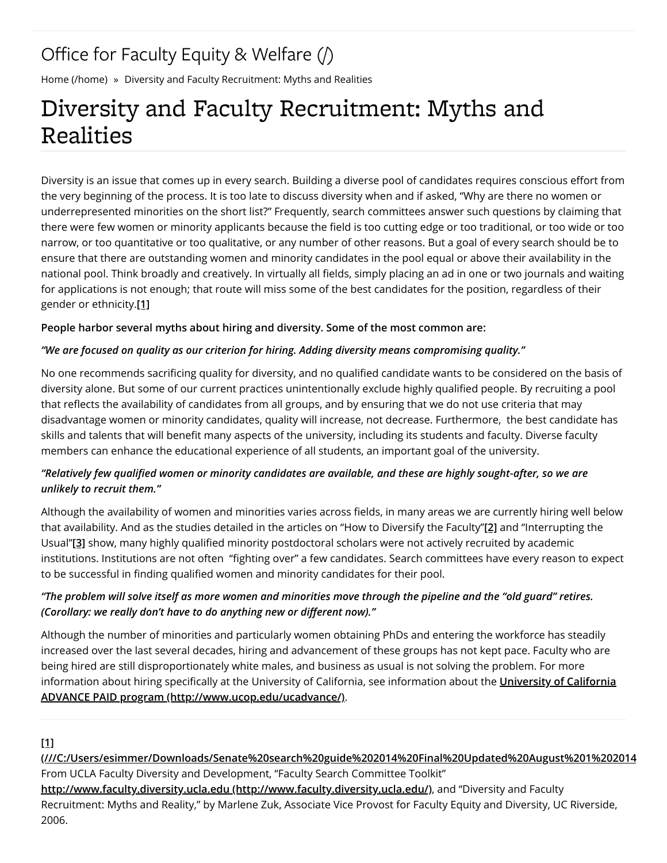# Office for Faculty Equity & Welfare  $($ )

Home (/home) » Diversity and Faculty Recruitment: Myths and Realities

# Diversity and Faculty Recruitment: Myths and Realities

Diversity is an issue that comes up in every search. Building a diverse pool of candidates requires conscious effort from the very beginning of the process. It is too late to discuss diversity when and if asked, "Why are there no women or underrepresented minorities on the short list?" Frequently, search committees answer such questions by claiming that there were few women or minority applicants because the field is too cutting edge or too traditional, or too wide or too narrow, or too quantitative or too qualitative, or any number of other reasons. But a goal of every search should be to ensure that there are outstanding women and minority candidates in the pool equal or above their availability in the national pool. Think broadly and creatively. In virtually all fields, simply placing an ad in one or two journals and waiting for applications is not enough; that route will miss some of the best candidates for the position, regardless of their gender or ethnicity.**[1]**

#### **People harbor several myths about hiring and diversity. Some of the most common are:**

#### *"We are focused on quality as our criterion for hiring. Adding diversity means compromising quality."*

No one recommends sacrificing quality for diversity, and no qualified candidate wants to be considered on the basis of diversity alone. But some of our current practices unintentionally exclude highly qualified people. By recruiting a pool that reflects the availability of candidates from all groups, and by ensuring that we do not use criteria that may disadvantage women or minority candidates, quality will increase, not decrease. Furthermore, the best candidate has skills and talents that will benefit many aspects of the university, including its students and faculty. Diverse faculty members can enhance the educational experience of all students, an important goal of the university.

## "Relatively few qualified women or minority candidates are available, and these are highly sought-after, so we are *unlikely to recruit them."*

Although the availability of women and minorities varies across fields, in many areas we are currently hiring well below that availability. And as the studies detailed in the articles on "How to Diversify the Faculty"**[2]** and "Interrupting the Usual"[3] show, many highly qualified minority postdoctoral scholars were not actively recruited by academic institutions. Institutions are not often "fighting over" a few candidates. Search committees have every reason to expect to be successful in finding qualified women and minority candidates for their pool.

## *"The problem will solve itself as more women and minorities move through the pipeline and the "old guard" retires. (Corollary: we really don't have to do anything new or different now)."*

Although the number of minorities and particularly women obtaining PhDs and entering the workforce has steadily increased over the last several decades, hiring and advancement of these groups has not kept pace. Faculty who are being hired are still disproportionately white males, and business as usual is not solving the problem. For more information about hiring specifically at the University of California, see information about the *University of California* **ADVANCE PAID program (http://www.ucop.edu/ucadvance/)**.

#### **[1]**

**(///C:/Users/esimmer/Downloads/Senate%20search%20guide%202014%20Final%20Updated%20August%201%202014** From UCLA Faculty Diversity and Development, "Faculty Search Committee Toolkit" **http://www.faculty.diversity.ucla.edu (http://www.faculty.diversity.ucla.edu/)**, and "Diversity and Faculty Recruitment: Myths and Reality," by Marlene Zuk, Associate Vice Provost for Faculty Equity and Diversity, UC Riverside, 2006.